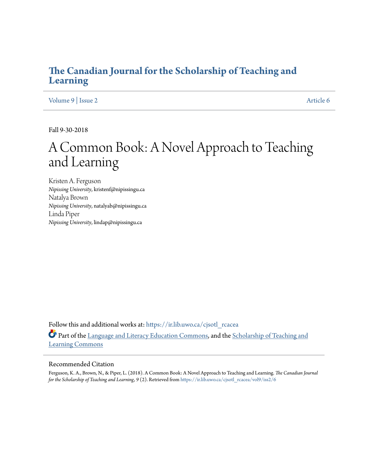# **[The Canadian Journal for the Scholarship of Teaching and](https://ir.lib.uwo.ca/cjsotl_rcacea?utm_source=ir.lib.uwo.ca%2Fcjsotl_rcacea%2Fvol9%2Fiss2%2F6&utm_medium=PDF&utm_campaign=PDFCoverPages) [Learning](https://ir.lib.uwo.ca/cjsotl_rcacea?utm_source=ir.lib.uwo.ca%2Fcjsotl_rcacea%2Fvol9%2Fiss2%2F6&utm_medium=PDF&utm_campaign=PDFCoverPages)**

[Volume 9](https://ir.lib.uwo.ca/cjsotl_rcacea/vol9?utm_source=ir.lib.uwo.ca%2Fcjsotl_rcacea%2Fvol9%2Fiss2%2F6&utm_medium=PDF&utm_campaign=PDFCoverPages) | [Issue 2](https://ir.lib.uwo.ca/cjsotl_rcacea/vol9/iss2?utm_source=ir.lib.uwo.ca%2Fcjsotl_rcacea%2Fvol9%2Fiss2%2F6&utm_medium=PDF&utm_campaign=PDFCoverPages) [Article 6](https://ir.lib.uwo.ca/cjsotl_rcacea/vol9/iss2/6?utm_source=ir.lib.uwo.ca%2Fcjsotl_rcacea%2Fvol9%2Fiss2%2F6&utm_medium=PDF&utm_campaign=PDFCoverPages)

Fall 9-30-2018

# A Common Book: A Novel Approach to Teaching and Learning

Kristen A. Ferguson *Nipissing University*, kristenf@nipissingu.ca Natalya Brown *Nipissing University*, natalyab@nipissingu.ca Linda Piper *Nipissing University*, lindap@nipissingu.ca

Follow this and additional works at: [https://ir.lib.uwo.ca/cjsotl\\_rcacea](https://ir.lib.uwo.ca/cjsotl_rcacea?utm_source=ir.lib.uwo.ca%2Fcjsotl_rcacea%2Fvol9%2Fiss2%2F6&utm_medium=PDF&utm_campaign=PDFCoverPages) Part of the [Language and Literacy Education Commons](http://network.bepress.com/hgg/discipline/1380?utm_source=ir.lib.uwo.ca%2Fcjsotl_rcacea%2Fvol9%2Fiss2%2F6&utm_medium=PDF&utm_campaign=PDFCoverPages), and the [Scholarship of Teaching and](http://network.bepress.com/hgg/discipline/1328?utm_source=ir.lib.uwo.ca%2Fcjsotl_rcacea%2Fvol9%2Fiss2%2F6&utm_medium=PDF&utm_campaign=PDFCoverPages) [Learning Commons](http://network.bepress.com/hgg/discipline/1328?utm_source=ir.lib.uwo.ca%2Fcjsotl_rcacea%2Fvol9%2Fiss2%2F6&utm_medium=PDF&utm_campaign=PDFCoverPages)

#### Recommended Citation

Ferguson, K. A., Brown, N., & Piper, L. (2018). A Common Book: A Novel Approach to Teaching and Learning. *The Canadian Journal for the Scholarship of Teaching and Learning, 9* (2). Retrieved from [https://ir.lib.uwo.ca/cjsotl\\_rcacea/vol9/iss2/6](https://ir.lib.uwo.ca/cjsotl_rcacea/vol9/iss2/6?utm_source=ir.lib.uwo.ca%2Fcjsotl_rcacea%2Fvol9%2Fiss2%2F6&utm_medium=PDF&utm_campaign=PDFCoverPages)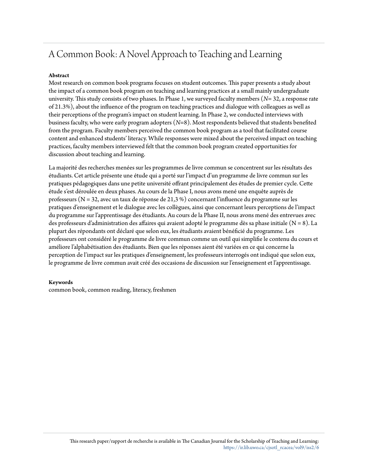# A Common Book: A Novel Approach to Teaching and Learning

## **Abstract**

Most research on common book programs focuses on student outcomes. This paper presents a study about the impact of a common book program on teaching and learning practices at a small mainly undergraduate university. This study consists of two phases. In Phase 1, we surveyed faculty members (*N*= 32, a response rate of 21.3%), about the influence of the program on teaching practices and dialogue with colleagues as well as their perceptions of the program's impact on student learning. In Phase 2, we conducted interviews with business faculty, who were early program adopters (*N*=8). Most respondents believed that students benefited from the program. Faculty members perceived the common book program as a tool that facilitated course content and enhanced students' literacy. While responses were mixed about the perceived impact on teaching practices, faculty members interviewed felt that the common book program created opportunities for discussion about teaching and learning.

La majorité des recherches menées sur les programmes de livre commun se concentrent sur les résultats des étudiants. Cet article présente une étude qui a porté sur l'impact d'un programme de livre commun sur les pratiques pédagogiques dans une petite université offrant principalement des études de premier cycle. Cette étude s'est déroulée en deux phases. Au cours de la Phase I, nous avons mené une enquête auprès de professeurs (N = 32, avec un taux de réponse de 21,3 %) concernant l'influence du programme sur les pratiques d'enseignement et le dialogue avec les collègues, ainsi que concernant leurs perceptions de l'impact du programme sur l'apprentissage des étudiants. Au cours de la Phase II, nous avons mené des entrevues avec des professeurs d'administration des affaires qui avaient adopté le programme dès sa phase initiale (N = 8). La plupart des répondants ont déclaré que selon eux, les étudiants avaient bénéficié du programme. Les professeurs ont considéré le programme de livre commun comme un outil qui simplifie le contenu du cours et améliore l'alphabétisation des étudiants. Bien que les réponses aient été variées en ce qui concerne la perception de l'impact sur les pratiques d'enseignement, les professeurs interrogés ont indiqué que selon eux, le programme de livre commun avait créé des occasions de discussion sur l'enseignement et l'apprentissage.

#### **Keywords**

common book, common reading, literacy, freshmen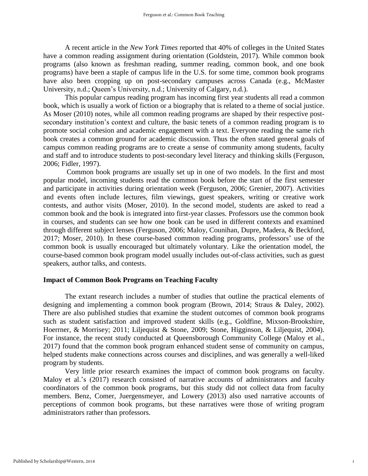A recent article in the *New York Times* reported that 40% of colleges in the United States have a common reading assignment during orientation (Goldstein, 2017). While common book programs (also known as freshman reading, summer reading, common book, and one book programs) have been a staple of campus life in the U.S. for some time, common book programs have also been cropping up on post-secondary campuses across Canada (e.g., McMaster University, n.d.; Queen's University, n.d.; University of Calgary, n.d.).

This popular campus reading program has incoming first year students all read a common book, which is usually a work of fiction or a biography that is related to a theme of social justice. As Moser (2010) notes, while all common reading programs are shaped by their respective postsecondary institution's context and culture, the basic tenets of a common reading program is to promote social cohesion and academic engagement with a text. Everyone reading the same rich book creates a common ground for academic discussion. Thus the often stated general goals of campus common reading programs are to create a sense of community among students, faculty and staff and to introduce students to post-secondary level literacy and thinking skills (Ferguson, 2006; Fidler, 1997).

Common book programs are usually set up in one of two models. In the first and most popular model, incoming students read the common book before the start of the first semester and participate in activities during orientation week (Ferguson, 2006; Grenier, 2007). Activities and events often include lectures, film viewings, guest speakers, writing or creative work contests, and author visits (Moser, 2010). In the second model, students are asked to read a common book and the book is integrated into first-year classes. Professors use the common book in courses, and students can see how one book can be used in different contexts and examined through different subject lenses (Ferguson, 2006; Maloy, Counihan, Dupre, Madera, & Beckford, 2017; Moser, 2010). In these course-based common reading programs, professors' use of the common book is usually encouraged but ultimately voluntary. Like the orientation model, the course-based common book program model usually includes out-of-class activities, such as guest speakers, author talks, and contests.

## **Impact of Common Book Programs on Teaching Faculty**

The extant research includes a number of studies that outline the practical elements of designing and implementing a common book program (Brown, 2014; Straus & Daley, 2002). There are also published studies that examine the student outcomes of common book programs such as student satisfaction and improved student skills (e.g., Goldfine, Mixson-Brookshire, Hoerrner, & Morrisey; 2011; Liljequist & Stone, 2009; Stone, Higginson, & Liljequist, 2004). For instance, the recent study conducted at Queensborough Community College (Maloy et al., 2017) found that the common book program enhanced student sense of community on campus, helped students make connections across courses and disciplines, and was generally a well-liked program by students.

Very little prior research examines the impact of common book programs on faculty. Maloy et al.'s (2017) research consisted of narrative accounts of administrators and faculty coordinators of the common book programs, but this study did not collect data from faculty members. Benz, Comer, Juergensmeyer, and Lowery (2013) also used narrative accounts of perceptions of common book programs, but these narratives were those of writing program administrators rather than professors.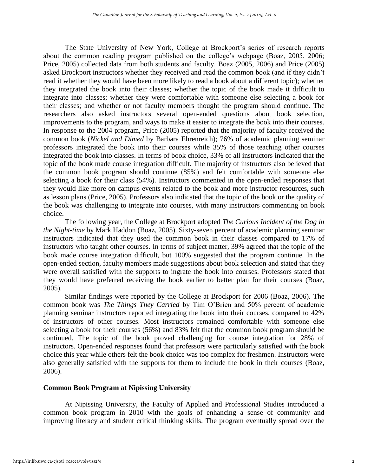The State University of New York, College at Brockport's series of research reports about the common reading program published on the college's webpage (Boaz, 2005, 2006; Price, 2005) collected data from both students and faculty. Boaz (2005, 2006) and Price (2005) asked Brockport instructors whether they received and read the common book (and if they didn't read it whether they would have been more likely to read a book about a different topic); whether they integrated the book into their classes; whether the topic of the book made it difficult to integrate into classes; whether they were comfortable with someone else selecting a book for their classes; and whether or not faculty members thought the program should continue. The researchers also asked instructors several open-ended questions about book selection, improvements to the program, and ways to make it easier to integrate the book into their courses. In response to the 2004 program, Price (2005) reported that the majority of faculty received the common book (*Nickel and Dimed* by Barbara Ehrenreich); 76% of academic planning seminar professors integrated the book into their courses while 35% of those teaching other courses integrated the book into classes. In terms of book choice, 33% of all instructors indicated that the topic of the book made course integration difficult. The majority of instructors also believed that the common book program should continue (85%) and felt comfortable with someone else selecting a book for their class (54%). Instructors commented in the open-ended responses that they would like more on campus events related to the book and more instructor resources, such as lesson plans (Price, 2005). Professors also indicated that the topic of the book or the quality of the book was challenging to integrate into courses, with many instructors commenting on book choice.

The following year, the College at Brockport adopted *The Curious Incident of the Dog in the Night-time* by Mark Haddon (Boaz, 2005). Sixty-seven percent of academic planning seminar instructors indicated that they used the common book in their classes compared to 17% of instructors who taught other courses. In terms of subject matter, 39% agreed that the topic of the book made course integration difficult, but 100% suggested that the program continue. In the open-ended section, faculty members made suggestions about book selection and stated that they were overall satisfied with the supports to ingrate the book into courses. Professors stated that they would have preferred receiving the book earlier to better plan for their courses (Boaz, 2005).

Similar findings were reported by the College at Brockport for 2006 (Boaz, 2006). The common book was *The Things They Carried* by Tim O'Brien and 50% percent of academic planning seminar instructors reported integrating the book into their courses, compared to 42% of instructors of other courses. Most instructors remained comfortable with someone else selecting a book for their courses (56%) and 83% felt that the common book program should be continued. The topic of the book proved challenging for course integration for 28% of instructors. Open-ended responses found that professors were particularly satisfied with the book choice this year while others felt the book choice was too complex for freshmen. Instructors were also generally satisfied with the supports for them to include the book in their courses (Boaz, 2006).

# **Common Book Program at Nipissing University**

At Nipissing University, the Faculty of Applied and Professional Studies introduced a common book program in 2010 with the goals of enhancing a sense of community and improving literacy and student critical thinking skills. The program eventually spread over the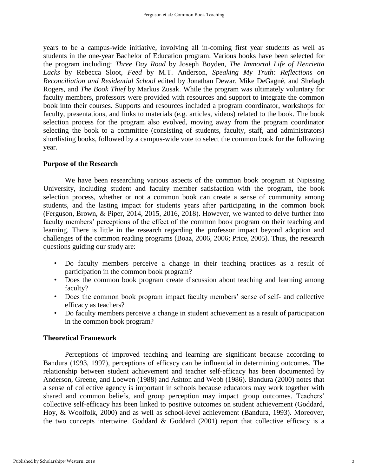years to be a campus-wide initiative, involving all in-coming first year students as well as students in the one-year Bachelor of Education program. Various books have been selected for the program including: *Three Day Road* by Joseph Boyden, *The Immortal Life of Henrietta Lacks* by Rebecca Sloot, *Feed* by M.T. Anderson, *Speaking My Truth: Reflections on Reconciliation and Residential School* edited by Jonathan Dewar, Mike DeGagné, and Shelagh Rogers, and *The Book Thief* by Markus Zusak. While the program was ultimately voluntary for faculty members, professors were provided with resources and support to integrate the common book into their courses. Supports and resources included a program coordinator, workshops for faculty, presentations, and links to materials (e.g. articles, videos) related to the book. The book selection process for the program also evolved, moving away from the program coordinator selecting the book to a committee (consisting of students, faculty, staff, and administrators) shortlisting books, followed by a campus-wide vote to select the common book for the following year.

# **Purpose of the Research**

We have been researching various aspects of the common book program at Nipissing University, including student and faculty member satisfaction with the program, the book selection process, whether or not a common book can create a sense of community among students, and the lasting impact for students years after participating in the common book (Ferguson, Brown, & Piper, 2014, 2015, 2016, 2018). However, we wanted to delve further into faculty members' perceptions of the effect of the common book program on their teaching and learning. There is little in the research regarding the professor impact beyond adoption and challenges of the common reading programs (Boaz, 2006, 2006; Price, 2005). Thus, the research questions guiding our study are:

- Do faculty members perceive a change in their teaching practices as a result of participation in the common book program?
- Does the common book program create discussion about teaching and learning among faculty?
- Does the common book program impact faculty members' sense of self- and collective efficacy as teachers?
- Do faculty members perceive a change in student achievement as a result of participation in the common book program?

# **Theoretical Framework**

Perceptions of improved teaching and learning are significant because according to Bandura (1993, 1997), perceptions of efficacy can be influential in determining outcomes. The relationship between student achievement and teacher self-efficacy has been documented by Anderson, Greene, and Loewen (1988) and Ashton and Webb (1986). Bandura (2000) notes that a sense of collective agency is important in schools because educators may work together with shared and common beliefs, and group perception may impact group outcomes. Teachers' collective self-efficacy has been linked to positive outcomes on student achievement (Goddard, Hoy, & Woolfolk, 2000) and as well as school-level achievement (Bandura, 1993). Moreover, the two concepts intertwine. Goddard  $&$  Goddard (2001) report that collective efficacy is a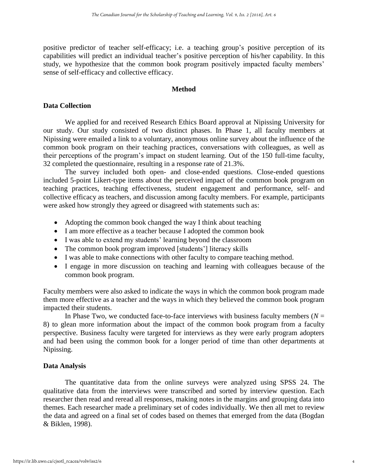positive predictor of teacher self-efficacy; i.e. a teaching group's positive perception of its capabilities will predict an individual teacher's positive perception of his/her capability. In this study, we hypothesize that the common book program positively impacted faculty members' sense of self-efficacy and collective efficacy.

# **Method**

# **Data Collection**

We applied for and received Research Ethics Board approval at Nipissing University for our study. Our study consisted of two distinct phases. In Phase 1, all faculty members at Nipissing were emailed a link to a voluntary, anonymous online survey about the influence of the common book program on their teaching practices, conversations with colleagues, as well as their perceptions of the program's impact on student learning. Out of the 150 full-time faculty, 32 completed the questionnaire, resulting in a response rate of 21.3%.

The survey included both open- and close-ended questions. Close-ended questions included 5-point Likert-type items about the perceived impact of the common book program on teaching practices, teaching effectiveness, student engagement and performance, self- and collective efficacy as teachers, and discussion among faculty members. For example, participants were asked how strongly they agreed or disagreed with statements such as:

- Adopting the common book changed the way I think about teaching
- I am more effective as a teacher because I adopted the common book
- I was able to extend my students' learning beyond the classroom
- The common book program improved [students'] literacy skills
- I was able to make connections with other faculty to compare teaching method.
- I engage in more discussion on teaching and learning with colleagues because of the common book program.

Faculty members were also asked to indicate the ways in which the common book program made them more effective as a teacher and the ways in which they believed the common book program impacted their students.

In Phase Two, we conducted face-to-face interviews with business faculty members ( $N =$ 8) to glean more information about the impact of the common book program from a faculty perspective. Business faculty were targeted for interviews as they were early program adopters and had been using the common book for a longer period of time than other departments at Nipissing.

# **Data Analysis**

The quantitative data from the online surveys were analyzed using SPSS 24. The qualitative data from the interviews were transcribed and sorted by interview question. Each researcher then read and reread all responses, making notes in the margins and grouping data into themes. Each researcher made a preliminary set of codes individually. We then all met to review the data and agreed on a final set of codes based on themes that emerged from the data (Bogdan & Biklen, 1998).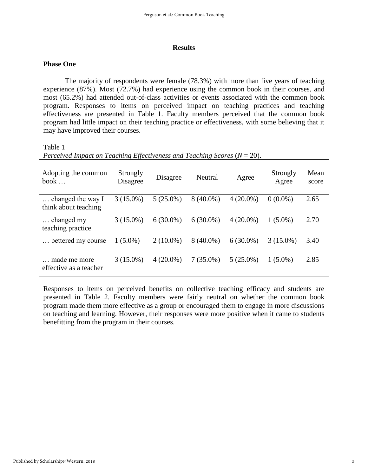#### **Results**

# **Phase One**

The majority of respondents were female (78.3%) with more than five years of teaching experience (87%). Most (72.7%) had experience using the common book in their courses, and most (65.2%) had attended out-of-class activities or events associated with the common book program. Responses to items on perceived impact on teaching practices and teaching effectiveness are presented in Table 1. Faculty members perceived that the common book program had little impact on their teaching practice or effectiveness, with some believing that it may have improved their courses.

## Table 1

| Adopting the common<br>book $\ldots$      | Strongly<br>Disagree | Disagree    | Neutral     | Agree       | Strongly<br>Agree | Mean<br>score |
|-------------------------------------------|----------------------|-------------|-------------|-------------|-------------------|---------------|
| changed the way I<br>think about teaching | $3(15.0\%)$          | $5(25.0\%)$ | $8(40.0\%)$ | $4(20.0\%)$ | $0(0.0\%)$        | 2.65          |
| changed my<br>teaching practice           | $3(15.0\%)$          | $6(30.0\%)$ | $6(30.0\%)$ | $4(20.0\%)$ | $1(5.0\%)$        | 2.70          |
| bettered my course                        | $1(5.0\%)$           | $2(10.0\%)$ | $8(40.0\%)$ | $6(30.0\%)$ | $3(15.0\%)$       | 3.40          |
| made me more<br>effective as a teacher    | $3(15.0\%)$          | $4(20.0\%)$ | $7(35.0\%)$ | $5(25.0\%)$ | $1(5.0\%)$        | 2.85          |

*Perceived Impact on Teaching Effectiveness and Teaching Scores* ( $N = 20$ ).

Responses to items on perceived benefits on collective teaching efficacy and students are presented in Table 2. Faculty members were fairly neutral on whether the common book program made them more effective as a group or encouraged them to engage in more discussions on teaching and learning. However, their responses were more positive when it came to students benefitting from the program in their courses.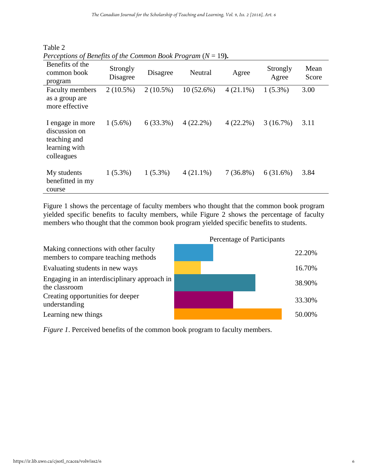| Benefits of the<br>common book<br>program                                        | Strongly<br>Disagree | Disagree    | Neutral      | Agree       | Strongly<br>Agree | Mean<br>Score |
|----------------------------------------------------------------------------------|----------------------|-------------|--------------|-------------|-------------------|---------------|
| <b>Faculty members</b><br>as a group are<br>more effective                       | $2(10.5\%)$          | $2(10.5\%)$ | $10(52.6\%)$ | $4(21.1\%)$ | $1(5.3\%)$        | 3.00          |
| I engage in more<br>discussion on<br>teaching and<br>learning with<br>colleagues | $1(5.6\%)$           | $6(33.3\%)$ | $4(22.2\%)$  | $4(22.2\%)$ | 3(16.7%)          | 3.11          |
| My students<br>benefitted in my<br>course                                        | $1(5.3\%)$           | $1(5.3\%)$  | $4(21.1\%)$  | $7(36.8\%)$ | 6(31.6%)          | 3.84          |

Table 2 *Perceptions of Benefits of the Common Book Program* (*N* = 19**).**

Figure 1 shows the percentage of faculty members who thought that the common book program yielded specific benefits to faculty members, while Figure 2 shows the percentage of faculty members who thought that the common book program yielded specific benefits to students.



*Figure 1*. Perceived benefits of the common book program to faculty members.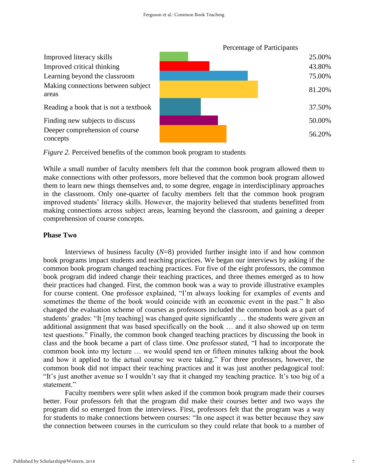



While a small number of faculty members felt that the common book program allowed them to make connections with other professors, more believed that the common book program allowed them to learn new things themselves and, to some degree, engage in interdisciplinary approaches in the classroom. Only one-quarter of faculty members felt that the common book program improved students' literacy skills. However, the majority believed that students benefitted from making connections across subject areas, learning beyond the classroom, and gaining a deeper comprehension of course concepts.

# **Phase Two**

Interviews of business faculty (*N*=8) provided further insight into if and how common book programs impact students and teaching practices. We began our interviews by asking if the common book program changed teaching practices. For five of the eight professors, the common book program did indeed change their teaching practices, and three themes emerged as to how their practices had changed. First, the common book was a way to provide illustrative examples for course content. One professor explained, "I'm always looking for examples of events and sometimes the theme of the book would coincide with an economic event in the past." It also changed the evaluation scheme of courses as professors included the common book as a part of students' grades: "It [my teaching] was changed quite significantly … the students were given an additional assignment that was based specifically on the book … and it also showed up on term test questions." Finally, the common book changed teaching practices by discussing the book in class and the book became a part of class time. One professor stated, "I had to incorporate the common book into my lecture … we would spend ten or fifteen minutes talking about the book and how it applied to the actual course we were taking." For three professors, however, the common book did not impact their teaching practices and it was just another pedagogical tool: "It's just another avenue so I wouldn't say that it changed my teaching practice. It's too big of a statement."

Faculty members were split when asked if the common book program made their courses better. Four professors felt that the program did make their courses better and two ways the program did so emerged from the interviews. First, professors felt that the program was a way for students to make connections between courses: "In one aspect it was better because they saw the connection between courses in the curriculum so they could relate that book to a number of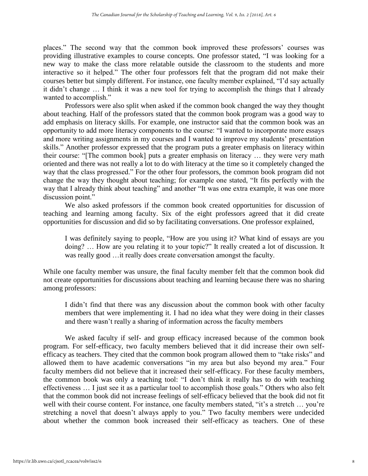places." The second way that the common book improved these professors' courses was providing illustrative examples to course concepts. One professor stated, "I was looking for a new way to make the class more relatable outside the classroom to the students and more interactive so it helped." The other four professors felt that the program did not make their courses better but simply different. For instance, one faculty member explained, "I'd say actually it didn't change … I think it was a new tool for trying to accomplish the things that I already wanted to accomplish."

Professors were also split when asked if the common book changed the way they thought about teaching*.* Half of the professors stated that the common book program was a good way to add emphasis on literacy skills. For example, one instructor said that the common book was an opportunity to add more literacy components to the course: "I wanted to incorporate more essays and more writing assignments in my courses and I wanted to improve my students' presentation skills." Another professor expressed that the program puts a greater emphasis on literacy within their course: "[The common book] puts a greater emphasis on literacy … they were very math oriented and there was not really a lot to do with literacy at the time so it completely changed the way that the class progressed." For the other four professors, the common book program did not change the way they thought about teaching; for example one stated, "It fits perfectly with the way that I already think about teaching" and another "It was one extra example, it was one more discussion point."

We also asked professors if the common book created opportunities for discussion of teaching and learning among faculty. Six of the eight professors agreed that it did create opportunities for discussion and did so by facilitating conversations. One professor explained,

I was definitely saying to people, "How are you using it? What kind of essays are you doing? … How are you relating it to your topic?" It really created a lot of discussion. It was really good …it really does create conversation amongst the faculty.

While one faculty member was unsure, the final faculty member felt that the common book did not create opportunities for discussions about teaching and learning because there was no sharing among professors:

I didn't find that there was any discussion about the common book with other faculty members that were implementing it. I had no idea what they were doing in their classes and there wasn't really a sharing of information across the faculty members

We asked faculty if self- and group efficacy increased because of the common book program. For self-efficacy, two faculty members believed that it did increase their own selfefficacy as teachers. They cited that the common book program allowed them to "take risks" and allowed them to have academic conversations "in my area but also beyond my area." Four faculty members did not believe that it increased their self-efficacy. For these faculty members, the common book was only a teaching tool: "I don't think it really has to do with teaching effectiveness … I just see it as a particular tool to accomplish those goals." Others who also felt that the common book did not increase feelings of self-efficacy believed that the book did not fit well with their course content. For instance, one faculty members stated, "it's a stretch … you're stretching a novel that doesn't always apply to you." Two faculty members were undecided about whether the common book increased their self-efficacy as teachers. One of these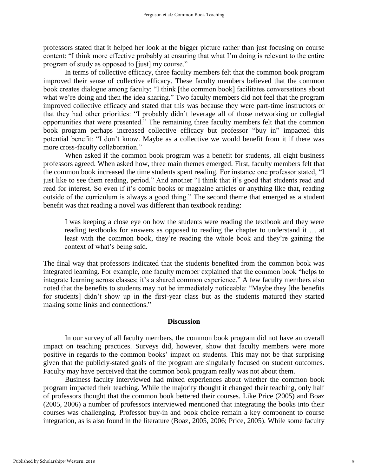professors stated that it helped her look at the bigger picture rather than just focusing on course content: "I think more effective probably at ensuring that what I'm doing is relevant to the entire program of study as opposed to [just] my course."

In terms of collective efficacy, three faculty members felt that the common book program improved their sense of collective efficacy. These faculty members believed that the common book creates dialogue among faculty: "I think [the common book] facilitates conversations about what we're doing and then the idea sharing." Two faculty members did not feel that the program improved collective efficacy and stated that this was because they were part-time instructors or that they had other priorities: "I probably didn't leverage all of those networking or collegial opportunities that were presented." The remaining three faculty members felt that the common book program perhaps increased collective efficacy but professor "buy in" impacted this potential benefit: "I don't know. Maybe as a collective we would benefit from it if there was more cross-faculty collaboration."

When asked if the common book program was a benefit for students, all eight business professors agreed. When asked how, three main themes emerged. First, faculty members felt that the common book increased the time students spent reading. For instance one professor stated, "I just like to see them reading, period." And another "I think that it's good that students read and read for interest. So even if it's comic books or magazine articles or anything like that, reading outside of the curriculum is always a good thing." The second theme that emerged as a student benefit was that reading a novel was different than textbook reading:

I was keeping a close eye on how the students were reading the textbook and they were reading textbooks for answers as opposed to reading the chapter to understand it … at least with the common book, they're reading the whole book and they're gaining the context of what's being said.

The final way that professors indicated that the students benefited from the common book was integrated learning. For example, one faculty member explained that the common book "helps to integrate learning across classes; it's a shared common experience." A few faculty members also noted that the benefits to students may not be immediately noticeable: "Maybe they [the benefits for students] didn't show up in the first-year class but as the students matured they started making some links and connections."

#### **Discussion**

In our survey of all faculty members, the common book program did not have an overall impact on teaching practices. Surveys did, however, show that faculty members were more positive in regards to the common books' impact on students. This may not be that surprising given that the publicly-stated goals of the program are singularly focused on student outcomes. Faculty may have perceived that the common book program really was not about them.

Business faculty interviewed had mixed experiences about whether the common book program impacted their teaching. While the majority thought it changed their teaching, only half of professors thought that the common book bettered their courses. Like Price (2005) and Boaz (2005, 2006) a number of professors interviewed mentioned that integrating the books into their courses was challenging. Professor buy-in and book choice remain a key component to course integration, as is also found in the literature (Boaz, 2005, 2006; Price, 2005). While some faculty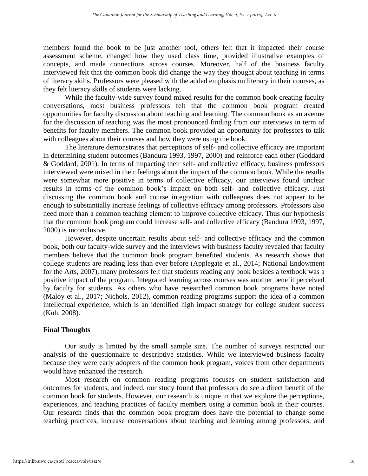members found the book to be just another tool, others felt that it impacted their course assessment scheme, changed how they used class time, provided illustrative examples of concepts, and made connections across courses. Moreover, half of the business faculty interviewed felt that the common book did change the way they thought about teaching in terms of literacy skills. Professors were pleased with the added emphasis on literacy in their courses, as they felt literacy skills of students were lacking.

While the faculty-wide survey found mixed results for the common book creating faculty conversations, most business professors felt that the common book program created opportunities for faculty discussion about teaching and learning. The common book as an avenue for the discussion of teaching was the most pronounced finding from our interviews in term of benefits for faculty members. The common book provided an opportunity for professors to talk with colleagues about their courses and how they were using the book.

The literature demonstrates that perceptions of self- and collective efficacy are important in determining student outcomes (Bandura 1993, 1997, 2000) and reinforce each other (Goddard & Goddard, 2001). In terms of impacting their self- and collective efficacy, business professors interviewed were mixed in their feelings about the impact of the common book. While the results were somewhat more positive in terms of collective efficacy, our interviews found unclear results in terms of the common book's impact on both self- and collective efficacy. Just discussing the common book and course integration with colleagues does not appear to be enough to substantially increase feelings of collective efficacy among professors. Professors also need more than a common teaching element to improve collective efficacy. Thus our hypothesis that the common book program could increase self- and collective efficacy (Bandura 1993, 1997, 2000) is inconclusive.

However, despite uncertain results about self- and collective efficacy and the common book, both our faculty-wide survey and the interviews with business faculty revealed that faculty members believe that the common book program benefited students. As research shows that college students are reading less than ever before (Applegate et al., 2014; National Endowment for the Arts, 2007), many professors felt that students reading any book besides a textbook was a positive impact of the program. Integrated learning across courses was another benefit perceived by faculty for students. As others who have researched common book programs have noted (Maloy et al., 2017; Nichols, 2012), common reading programs support the idea of a common intellectual experience, which is an identified high impact strategy for college student success (Kuh, 2008).

# **Final Thoughts**

Our study is limited by the small sample size. The number of surveys restricted our analysis of the questionnaire to descriptive statistics. While we interviewed business faculty because they were early adopters of the common book program, voices from other departments would have enhanced the research.

Most research on common reading programs focuses on student satisfaction and outcomes for students, and indeed, our study found that professors do see a direct benefit of the common book for students. However, our research is unique in that we explore the perceptions, experiences, and teaching practices of faculty members using a common book in their courses. Our research finds that the common book program does have the potential to change some teaching practices, increase conversations about teaching and learning among professors, and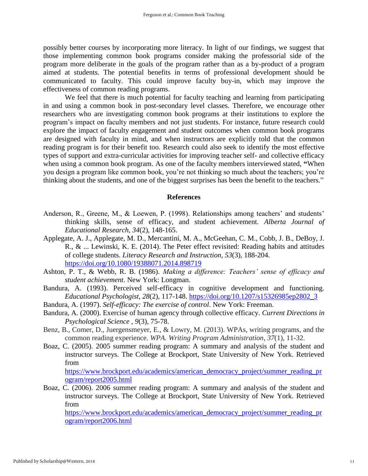possibly better courses by incorporating more literacy. In light of our findings, we suggest that those implementing common book programs consider making the professorial side of the program more deliberate in the goals of the program rather than as a by-product of a program aimed at students. The potential benefits in terms of professional development should be communicated to faculty. This could improve faculty buy-in, which may improve the effectiveness of common reading programs.

We feel that there is much potential for faculty teaching and learning from participating in and using a common book in post-secondary level classes. Therefore, we encourage other researchers who are investigating common book programs at their institutions to explore the program's impact on faculty members and not just students. For instance, future research could explore the impact of faculty engagement and student outcomes when common book programs are designed with faculty in mind, and when instructors are explicitly told that the common reading program is for their benefit too. Research could also seek to identify the most effective types of support and extra-curricular activities for improving teacher self- and collective efficacy when using a common book program. As one of the faculty members interviewed stated, **"**When you design a program like common book, you're not thinking so much about the teachers; you're thinking about the students, and one of the biggest surprises has been the benefit to the teachers."

## **References**

- Anderson, R., Greene, M., & Loewen, P. (1998). Relationships among teachers' and students' thinking skills, sense of efficacy, and student achievement. *Alberta Journal of Educational Research, 34*(2), 148-165.
- Applegate, A. J., Applegate, M. D., Mercantini, M. A., McGeehan, C. M., Cobb, J. B., DeBoy, J. R., & ... Lewinski, K. E. (2014). The Peter effect revisited: Reading habits and attitudes of college students. *Literacy Research and Instruction, 53*(3), 188-204. <https://doi.org/10.1080/19388071.2014.898719>
- Ashton, P. T., & Webb, R. B. (1986). *Making a difference: Teachers' sense of efficacy and student achievement*. New York: Longman.
- Bandura, A. (1993). Perceived self-efficacy in cognitive development and functioning. *Educational Psychologist, 28*(2), 117-148. [https://doi.org/10.1207/s15326985ep2802\\_3](https://doi.org/10.1207/s15326985ep2802_3)
- Bandura, A. (1997). *Self-efficacy: The exercise of control*. New York: Freeman.
- Bandura, A. (2000). Exercise of human agency through collective efficacy. *[Current Directions in](javascript:__doLinkPostBack()  [Psychological Science](javascript:__doLinkPostBack()* , *9*(3), 75-78.
- Benz, B., Comer, D., Juergensmeyer, E., & Lowry, M. (2013). WPAs, writing programs, and the common reading experience. *WPA. Writing Program Administration*, *37*(1), 11-32.
- Boaz, C. (2005). 2005 summer reading program: A summary and analysis of the student and instructor surveys. The College at Brockport, State University of New York. Retrieved from

[https://www.brockport.edu/academics/american\\_democracy\\_project/summer\\_reading\\_pr](https://www.brockport.edu/academics/american_democracy_project/summer_reading_program/report2005.html) [ogram/report2005.html](https://www.brockport.edu/academics/american_democracy_project/summer_reading_program/report2005.html)

Boaz, C. (2006). 2006 summer reading program: A summary and analysis of the student and instructor surveys. The College at Brockport, State University of New York. Retrieved from

[https://www.brockport.edu/academics/american\\_democracy\\_project/summer\\_reading\\_pr](https://www.brockport.edu/academics/american_democracy_project/summer_reading_program/report2006.html) [ogram/report2006.html](https://www.brockport.edu/academics/american_democracy_project/summer_reading_program/report2006.html)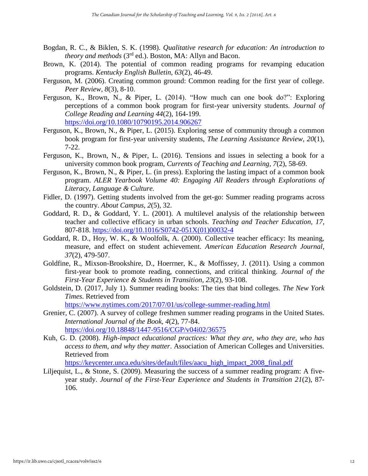- Bogdan, R. C., & Biklen, S. K. (1998). *Qualitative research for education: An introduction to theory and methods* (3rd ed.). Boston, MA: Allyn and Bacon.
- Brown, K. (2014). The potential of common reading programs for revamping education programs. *Kentucky English Bulletin, 63*(2), 46-49.
- Ferguson, M. (2006). Creating common ground: Common reading for the first year of college. *Peer Review, 8*(3), 8-10.
- Ferguson, K., Brown, N., & Piper, L. (2014). "How much can one book do?": Exploring perceptions of a common book program for first-year university students. *Journal of College Reading and Learning 44*(2), 164-199. <https://doi.org/10.1080/10790195.2014.906267>
- Ferguson, K., Brown, N., & Piper, L. (2015). Exploring sense of community through a common book program for first-year university students, *The Learning Assistance Review, 20*(1), 7-22.
- Ferguson, K., Brown, N., & Piper, L. (2016). Tensions and issues in selecting a book for a university common book program, *Currents of Teaching and Learning, 7*(2), 58-69.
- Ferguson, K., Brown, N., & Piper, L. (in press). Exploring the lasting impact of a common book program. *ALER Yearbook Volume 40: Engaging All Readers through Explorations of Literacy, Language & Culture.*
- Fidler, D. (1997). Getting students involved from the get-go: Summer reading programs across the country. *About Campus, 2*(5), 32.
- Goddard, R. D., & Goddard, Y. L. (2001). A multilevel analysis of the relationship between teacher and collective efficacy in urban schools. *Teaching and Teacher Education, 17*, 807-818. [https://doi.org/10.1016/S0742-051X\(01\)00032-4](https://doi.org/10.1016/S0742-051X(01)00032-4)
- Goddard, R. D., Hoy, W. K., & Woolfolk, A. (2000). Collective teacher efficacy: Its meaning, measure, and effect on student achievement. *American Education Research Journal, 37*(2), 479-507.
- Goldfine, R., Mixson-Brookshire, D., Hoerrner, K., & Moffissey, J. (2011). Using a common first-year book to promote reading, connections, and critical thinking. *Journal of the First-Year Experience & Students in Transition, 23*(2), 93-108.
- Goldstein, D. (2017, July 1). Summer reading books: The ties that bind colleges. *The New York Times*. Retrieved from

<https://www.nytimes.com/2017/07/01/us/college-summer-reading.html>

- Grenier, C. (2007). A survey of college freshmen summer reading programs in the United States. *International Journal of the Book, 4*(2), 77-84. <https://doi.org/10.18848/1447-9516/CGP/v04i02/36575>
- Kuh, G. D. (2008). *High-impact educational practices: What they are, who they are, who has access to them, and why they matter*. Association of American Colleges and Universities. Retrieved from

[https://keycenter.unca.edu/sites/default/files/aacu\\_high\\_impact\\_2008\\_final.pdf](https://keycenter.unca.edu/sites/default/files/aacu_high_impact_2008_final.pdf)

Liljequist, L., & Stone, S. (2009). Measuring the success of a summer reading program: A fiveyear study. *Journal of the First-Year Experience and Students in Transition 21*(2), 87- 106.